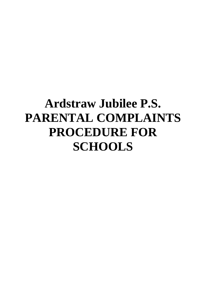# **Ardstraw Jubilee P.S. PARENTAL COMPLAINTS PROCEDURE FOR SCHOOLS**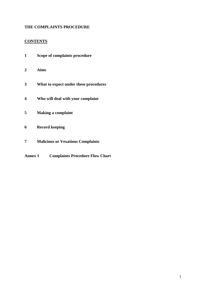## **THE COMPLAINTS PROCEDURE**

## **CONTENTS**

- **Scope of complaints procedure**
- **Aims**
- **What to expect under these procedures**
- **Who will deal with your complaint**
- **Making a complaint**
- **Record keeping**
- **Malicious or Vexatious Complaints**
- **Annex 1 Complaints Procedure Flow Chart**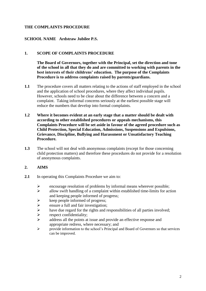## **THE COMPLAINTS PROCEDURE**

## **SCHOOL NAME Ardstraw Jubilee P.S.**

#### **1. SCOPE OF COMPLAINTS PROCEDURE**

**The Board of Governors, together with the Principal, set the direction and tone of the school in all that they do and are committed to working with parents in the best interests of their childrens' education. The purpose of the Complaints Procedure is to address complaints raised by parents/guardians.** 

- **1.1** The procedure covers all matters relating to the actions of staff employed in the school and the application of school procedures, where they affect individual pupils. However, schools need to be clear about the difference between a concern and a complaint. Taking informal concerns seriously at the earliest possible stage will reduce the numbers that develop into formal complaints.
- **1.2 Where it becomes evident at an early stage that a matter should be dealt with according to other established procedures or appeals mechanisms, this Complaints Procedure will be set aside in favour of the agreed procedure such as Child Protection, Special Education, Admissions, Suspensions and Expulsions, Grievance, Discipline, Bullying and Harassment or Unsatisfactory Teaching Procedure.**
- **1.3** The school will not deal with anonymous complaints (except for those concerning child protection matters) and therefore these procedures do not provide for a resolution of anonymous complaints.

## **2. AIMS**

- **2.1** In operating this Complaints Procedure we aim to:
	- Example 1 and the encourage resolution of problems by informal means wherever possible;<br>allow swift handling of a complaint within established time-limits for act
	- allow swift handling of a complaint within established time-limits for action and keeping people informed of progress;
	- $\triangleright$  keep people informed of progress;
	- $\triangleright$  ensure a full and fair investigation;<br> $\triangleright$  have due regard for the rights and re
	- have due regard for the rights and responsibilities of all parties involved;<br>  $\triangleright$  respect confidentiality;
	- respect confidentiality;
	- $\triangleright$  address all the points at issue and provide an effective response and appropriate redress, where necessary; and
	- $\triangleright$  provide information to the school's Principal and Board of Governors so that services can be improved.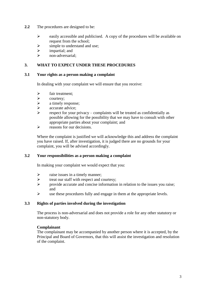- **2.2** The procedures are designed to be:
	- $\triangleright$  easily accessible and publicised. A copy of the procedures will be available on request from the school;
	- $\triangleright$  simple to understand and use;
	- $\triangleright$  impartial; and<br> $\triangleright$  non-adversaria
	- non-adversarial;

## **3. WHAT TO EXPECT UNDER THESE PROCEDURES**

#### **3.1 Your rights as a person making a complaint**

In dealing with your complaint we will ensure that you receive:

- $\triangleright$  fair treatment;
- $\triangleright$  courtesy;
- $\triangleright$  a timely response;<br> $\triangleright$  accurate advice:
- $\triangleright$  accurate advice;<br> $\triangleright$  espect for your
- respect for your privacy complaints will be treated as confidentially as possible allowing for the possibility that we may have to consult with other appropriate parties about your complaint; and
- $\triangleright$  reasons for our decisions.

Where the complaint is justified we will acknowledge this and address the complaint you have raised. If, after investigation, it is judged there are no grounds for your complaint, you will be advised accordingly.

#### **3.2 Your responsibilities as a person making a complaint**

In making your complaint we would expect that you:

- $\triangleright$  raise issues in a timely manner;
- $\triangleright$  treat our staff with respect and courtesy;
- $\triangleright$  provide accurate and concise information in relation to the issues you raise; and
- $\triangleright$  use these procedures fully and engage in them at the appropriate levels.

## **3.3 Rights of parties involved during the investigation**

The process is non-adversarial and does not provide a role for any other statutory or non-statutory body.

#### **Complainant**

The complainant may be accompanied by another person where it is accepted, by the Principal and Board of Governors, that this will assist the investigation and resolution of the complaint.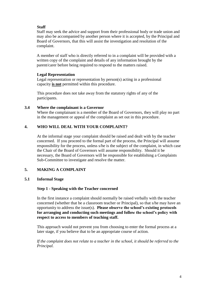## **Staff**

Staff may seek the advice and support from their professional body or trade union and may also be accompanied by another person where it is accepted, by the Principal and Board of Governors, that this will assist the investigation and resolution of the complaint.

A member of staff who is directly referred to in a complaint will be provided with a written copy of the complaint and details of any information brought by the parent/carer before being required to respond to the matters raised.

## **Legal Representation**

Legal representation or representation by person(s) acting in a professional capacity **is not** permitted within this procedure.

This procedure does not take away from the statutory rights of any of the participants.

## **3.4 Where the complainant is a Governor**

Where the complainant is a member of the Board of Governors, they will play no part in the management or appeal of the complaint as set out in this procedure.

## **4. WHO WILL DEAL WITH YOUR COMPLAINT?**

At the informal stage your complaint should be raised and dealt with by the teacher concerned. If you proceed to the formal part of the process, the Principal will assume responsibility for the process, unless s/he is the subject of the complaint, in which case the Chair of the Board of Governors will assume responsibility. Should it be necessary, the Board of Governors will be responsible for establishing a Complaints Sub-Committee to investigate and resolve the matter.

## **5. MAKING A COMPLAINT**

## **5.1 Informal Stage**

## **Step 1 - Speaking with the Teacher concerned**

In the first instance a complaint should normally be raised verbally with the teacher concerned (whether that be a classroom teacher or Principal), so that s/he may have an opportunity to address the issue(s). **Please observe the school's existing protocols for arranging and conducting such meetings and follow the school's policy with respect to access to members of teaching staff.**

This approach would not prevent you from choosing to enter the formal process at a later stage, if you believe that to be an appropriate course of action.

*If the complaint does not relate to a teacher in the school, it should be referred to the Principal.*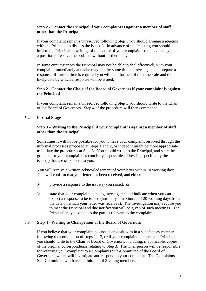## **Step 2 - Contact the Principal if your complaint is against a member of staff other than the Principal**

If your complaint remains unresolved following Step 1 you should arrange a meeting with the Principal to discuss the issue(s). In advance of this meeting you should inform the Principal in writing, of the nature of your complaint so that s/he may be in a position to resolve the problem without further delay.

In some circumstances the Principal may not be able to deal effectively with your complaint immediately and s/he may require some time to investigate and prepare a response. If further time is required you will be informed of the timescale and the likely date by which a response will be issued.

## **Step 2 - Contact the Chair of the Board of Governors if your complaint is against the Principal**

If your complaint remains unresolved following Step 1 you should write to the Chair of the Board of Governors. Step 4 of the procedure will then commence.

## **5.2 Formal Stage**

#### **Step 3 – Writing to the Principal if your complaint is against a member of staff other than the Principal**

Sometimes it will not be possible for you to have your complaint resolved through the informal processes proposed at Steps 1 and 2, or indeed it might be more appropriate to initiate the procedures at Step 3. You should write to the Principal, and state the grounds for your complaint as concisely as possible addressing specifically the issue(s) that are of concern to you.

You will receive a written acknowledgement of your letter within 10 working days. This will confirm that your letter has been received, and either:

- $\triangleright$  provide a response to the issue(s) you raised; or
- $\triangleright$  state that your complaint is being investigated and indicate when you can expect a response to be issued (normally a maximum of 20 working days from the date on which your letter was received). The investigation may require you to meet the Principal and due notification will be given of such meetings. The Principal may also talk to the parties relevant to the complaint.

## **5.3 Step 4 - Writing to Chairperson of the Board of Governors**

If you believe that your complaint has not been dealt with in a satisfactory manner following the completion of steps  $1 - 3$ , or if your complaint concerns the Principal, you should write to the Chair of Board of Governors, including, if applicable, copies of the original correspondence relating to Step 3. The Chairperson will be responsible for referring your complaint to a Complaints Sub-Committee of the Board of Governors, which will investigate and respond to your complaint. The Complaints Sub-Committee will have a minimum of 3 voting members.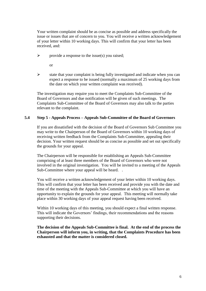Your written complaint should be as concise as possible and address specifically the issue or issues that are of concern to you. You will receive a written acknowledgement of your letter within 10 working days. This will confirm that your letter has been received, and:

 $\triangleright$  provide a response to the issue(s) you raised;

or

 $\triangleright$  state that your complaint is being fully investigated and indicate when you can expect a response to be issued (normally a maximum of 25 working days from the date on which your written complaint was received).

The investigation may require you to meet the Complaints Sub-Committee of the Board of Governors and due notification will be given of such meetings. The Complaints Sub-Committee of the Board of Governors may also talk to the parties relevant to the complaint.

## **5.4 Step 5 - Appeals Process – Appeals Sub-Committee of the Board of Governors**

If you are dissatisfied with the decision of the Board of Governors Sub Committee you may write to the Chairperson of the Board of Governors within 10 working days of receiving written feedback from the Complaints Sub-Committee, appealing their decision. Your written request should be as concise as possible and set out specifically the grounds for your appeal.

The Chairperson will be responsible for establishing an Appeals Sub-Committee comprising of at least three members of the Board of Governors who were not involved in the original investigation. You will be invited to a meeting of the Appeals Sub-Committee where your appeal will be heard. .

You will receive a written acknowledgement of your letter within 10 working days. This will confirm that your letter has been received and provide you with the date and time of the meeting with the Appeals Sub-Committee at which you will have an opportunity to explain the grounds for your appeal. This meeting will normally take place within 30 working days of your appeal request having been received.

Within 10 working days of this meeting, you should expect a final written response. This will indicate the Governors' findings, their recommendations and the reasons supporting their decisions.

**The decision of the Appeals Sub-Committee is final. At the end of the process the Chairperson will inform you, in writing, that the Complaints Procedure has been exhausted and that the matter is considered closed.**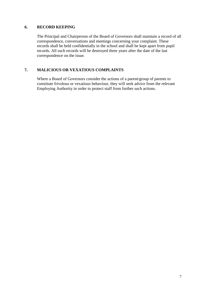## **6. RECORD KEEPING**

The Principal and Chairperson of the Board of Governors shall maintain a record of all correspondence, conversations and meetings concerning your complaint. These records shall be held confidentially in the school and shall be kept apart from pupil records. All such records will be destroyed three years after the date of the last correspondence on the issue.

## **7. MALICIOUS OR VEXATIOUS COMPLAINTS**

Where a Board of Governors consider the actions of a parent/group of parents to constitute frivolous or vexatious behaviour, they will seek advice from the relevant Employing Authority in order to protect staff from further such actions.